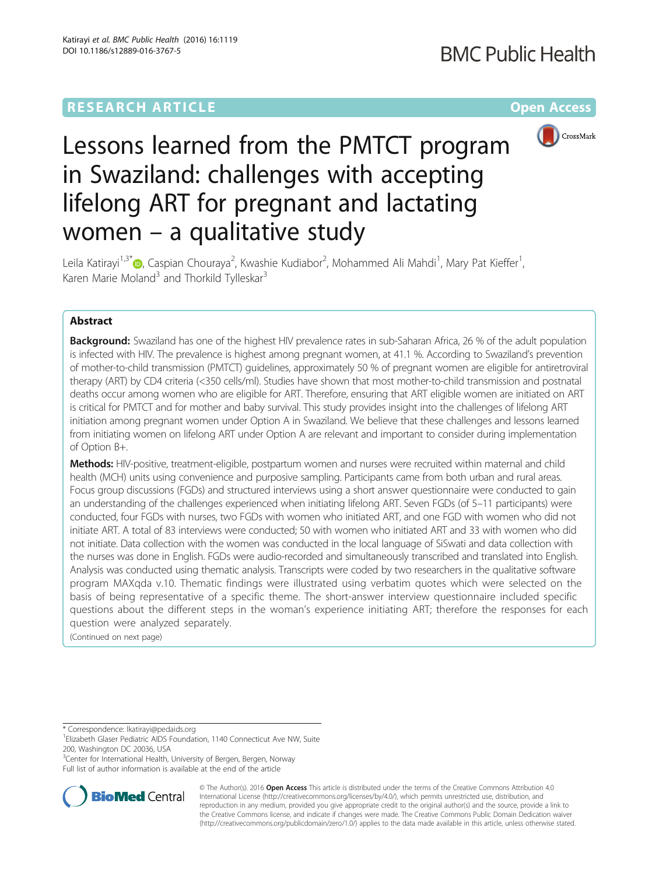# **RESEARCH ARTICLE Example 2014 12:30 The Community Community Community Community Community Community Community**



# Lessons learned from the PMTCT program in Swaziland: challenges with accepting lifelong ART for pregnant and lactating women – a qualitative study

Leila Katirayi<sup>1[,](http://orcid.org/0000-0002-2575-8737)3\*</sup>�, Caspian Chouraya<sup>2</sup>, Kwashie Kudiabor<sup>2</sup>, Mohammed Ali Mahdi<sup>1</sup>, Mary Pat Kieffer<sup>1</sup> , Karen Marie Moland<sup>3</sup> and Thorkild Tylleskar<sup>3</sup>

# Abstract

**Background:** Swaziland has one of the highest HIV prevalence rates in sub-Saharan Africa, 26 % of the adult population is infected with HIV. The prevalence is highest among pregnant women, at 41.1 %. According to Swaziland's prevention of mother-to-child transmission (PMTCT) guidelines, approximately 50 % of pregnant women are eligible for antiretroviral therapy (ART) by CD4 criteria (<350 cells/ml). Studies have shown that most mother-to-child transmission and postnatal deaths occur among women who are eligible for ART. Therefore, ensuring that ART eligible women are initiated on ART is critical for PMTCT and for mother and baby survival. This study provides insight into the challenges of lifelong ART initiation among pregnant women under Option A in Swaziland. We believe that these challenges and lessons learned from initiating women on lifelong ART under Option A are relevant and important to consider during implementation of Option B+.

Methods: HIV-positive, treatment-eligible, postpartum women and nurses were recruited within maternal and child health (MCH) units using convenience and purposive sampling. Participants came from both urban and rural areas. Focus group discussions (FGDs) and structured interviews using a short answer questionnaire were conducted to gain an understanding of the challenges experienced when initiating lifelong ART. Seven FGDs (of 5–11 participants) were conducted, four FGDs with nurses, two FGDs with women who initiated ART, and one FGD with women who did not initiate ART. A total of 83 interviews were conducted; 50 with women who initiated ART and 33 with women who did not initiate. Data collection with the women was conducted in the local language of SiSwati and data collection with the nurses was done in English. FGDs were audio-recorded and simultaneously transcribed and translated into English. Analysis was conducted using thematic analysis. Transcripts were coded by two researchers in the qualitative software program MAXqda v.10. Thematic findings were illustrated using verbatim quotes which were selected on the basis of being representative of a specific theme. The short-answer interview questionnaire included specific questions about the different steps in the woman's experience initiating ART; therefore the responses for each question were analyzed separately.

(Continued on next page)

\* Correspondence: [lkatirayi@pedaids.org](mailto:lkatirayi@pedaids.org) <sup>1</sup>

<sup>3</sup>Center for International Health, University of Bergen, Bergen, Norway Full list of author information is available at the end of the article



© The Author(s). 2016 Open Access This article is distributed under the terms of the Creative Commons Attribution 4.0 International License [\(http://creativecommons.org/licenses/by/4.0/](http://creativecommons.org/licenses/by/4.0/)), which permits unrestricted use, distribution, and reproduction in any medium, provided you give appropriate credit to the original author(s) and the source, provide a link to the Creative Commons license, and indicate if changes were made. The Creative Commons Public Domain Dedication waiver [\(http://creativecommons.org/publicdomain/zero/1.0/](http://creativecommons.org/publicdomain/zero/1.0/)) applies to the data made available in this article, unless otherwise stated.

<sup>&</sup>lt;sup>1</sup>Elizabeth Glaser Pediatric AIDS Foundation, 1140 Connecticut Ave NW, Suite 200, Washington DC 20036, USA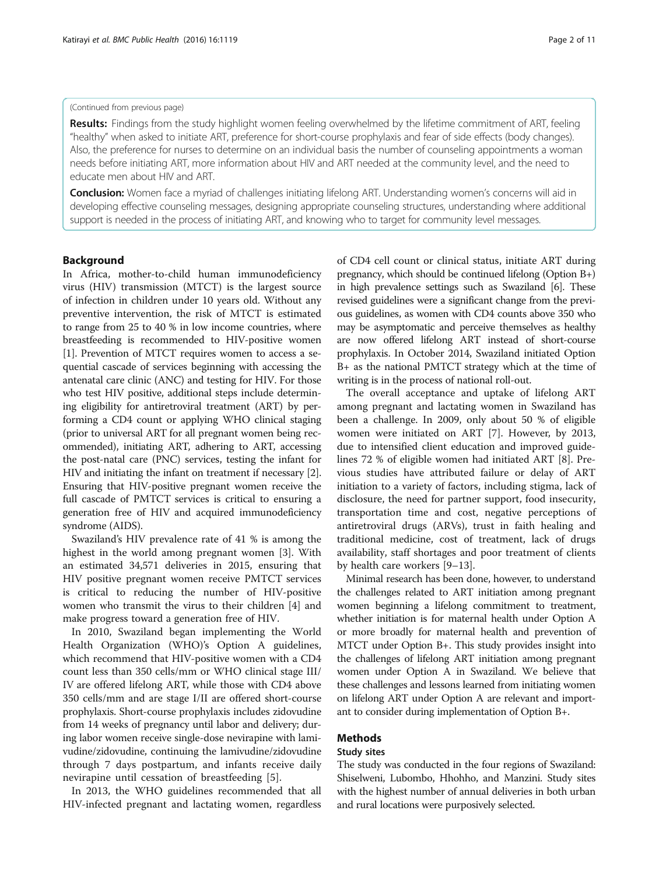#### (Continued from previous page)

Results: Findings from the study highlight women feeling overwhelmed by the lifetime commitment of ART, feeling "healthy" when asked to initiate ART, preference for short-course prophylaxis and fear of side effects (body changes). Also, the preference for nurses to determine on an individual basis the number of counseling appointments a woman needs before initiating ART, more information about HIV and ART needed at the community level, and the need to educate men about HIV and ART.

Conclusion: Women face a myriad of challenges initiating lifelong ART. Understanding women's concerns will aid in developing effective counseling messages, designing appropriate counseling structures, understanding where additional support is needed in the process of initiating ART, and knowing who to target for community level messages.

#### Background

In Africa, mother-to-child human immunodeficiency virus (HIV) transmission (MTCT) is the largest source of infection in children under 10 years old. Without any preventive intervention, the risk of MTCT is estimated to range from 25 to 40 % in low income countries, where breastfeeding is recommended to HIV-positive women [[1\]](#page-10-0). Prevention of MTCT requires women to access a sequential cascade of services beginning with accessing the antenatal care clinic (ANC) and testing for HIV. For those who test HIV positive, additional steps include determining eligibility for antiretroviral treatment (ART) by performing a CD4 count or applying WHO clinical staging (prior to universal ART for all pregnant women being recommended), initiating ART, adhering to ART, accessing the post-natal care (PNC) services, testing the infant for HIV and initiating the infant on treatment if necessary [[2](#page-10-0)]. Ensuring that HIV-positive pregnant women receive the full cascade of PMTCT services is critical to ensuring a generation free of HIV and acquired immunodeficiency syndrome (AIDS).

Swaziland's HIV prevalence rate of 41 % is among the highest in the world among pregnant women [\[3](#page-10-0)]. With an estimated 34,571 deliveries in 2015, ensuring that HIV positive pregnant women receive PMTCT services is critical to reducing the number of HIV-positive women who transmit the virus to their children [[4\]](#page-10-0) and make progress toward a generation free of HIV.

In 2010, Swaziland began implementing the World Health Organization (WHO)'s Option A guidelines, which recommend that HIV-positive women with a CD4 count less than 350 cells/mm or WHO clinical stage III/ IV are offered lifelong ART, while those with CD4 above 350 cells/mm and are stage I/II are offered short-course prophylaxis. Short-course prophylaxis includes zidovudine from 14 weeks of pregnancy until labor and delivery; during labor women receive single-dose nevirapine with lamivudine/zidovudine, continuing the lamivudine/zidovudine through 7 days postpartum, and infants receive daily nevirapine until cessation of breastfeeding [\[5](#page-10-0)].

In 2013, the WHO guidelines recommended that all HIV-infected pregnant and lactating women, regardless of CD4 cell count or clinical status, initiate ART during pregnancy, which should be continued lifelong (Option B+) in high prevalence settings such as Swaziland [[6](#page-10-0)]. These revised guidelines were a significant change from the previous guidelines, as women with CD4 counts above 350 who may be asymptomatic and perceive themselves as healthy are now offered lifelong ART instead of short-course prophylaxis. In October 2014, Swaziland initiated Option B+ as the national PMTCT strategy which at the time of writing is in the process of national roll-out.

The overall acceptance and uptake of lifelong ART among pregnant and lactating women in Swaziland has been a challenge. In 2009, only about 50 % of eligible women were initiated on ART [[7](#page-10-0)]. However, by 2013, due to intensified client education and improved guidelines 72 % of eligible women had initiated ART [[8\]](#page-10-0). Previous studies have attributed failure or delay of ART initiation to a variety of factors, including stigma, lack of disclosure, the need for partner support, food insecurity, transportation time and cost, negative perceptions of antiretroviral drugs (ARVs), trust in faith healing and traditional medicine, cost of treatment, lack of drugs availability, staff shortages and poor treatment of clients by health care workers [[9](#page-10-0)–[13](#page-10-0)].

Minimal research has been done, however, to understand the challenges related to ART initiation among pregnant women beginning a lifelong commitment to treatment, whether initiation is for maternal health under Option A or more broadly for maternal health and prevention of MTCT under Option B+. This study provides insight into the challenges of lifelong ART initiation among pregnant women under Option A in Swaziland. We believe that these challenges and lessons learned from initiating women on lifelong ART under Option A are relevant and important to consider during implementation of Option B+.

# Methods

# Study sites

The study was conducted in the four regions of Swaziland: Shiselweni, Lubombo, Hhohho, and Manzini. Study sites with the highest number of annual deliveries in both urban and rural locations were purposively selected.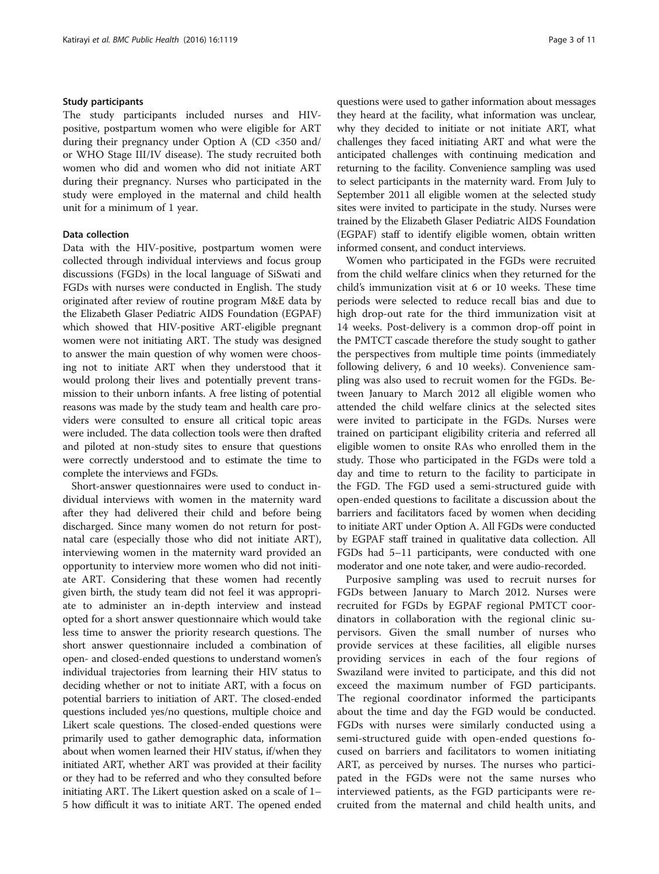#### Study participants

The study participants included nurses and HIVpositive, postpartum women who were eligible for ART during their pregnancy under Option A (CD <350 and/ or WHO Stage III/IV disease). The study recruited both women who did and women who did not initiate ART during their pregnancy. Nurses who participated in the study were employed in the maternal and child health unit for a minimum of 1 year.

#### Data collection

Data with the HIV-positive, postpartum women were collected through individual interviews and focus group discussions (FGDs) in the local language of SiSwati and FGDs with nurses were conducted in English. The study originated after review of routine program M&E data by the Elizabeth Glaser Pediatric AIDS Foundation (EGPAF) which showed that HIV-positive ART-eligible pregnant women were not initiating ART. The study was designed to answer the main question of why women were choosing not to initiate ART when they understood that it would prolong their lives and potentially prevent transmission to their unborn infants. A free listing of potential reasons was made by the study team and health care providers were consulted to ensure all critical topic areas were included. The data collection tools were then drafted and piloted at non-study sites to ensure that questions were correctly understood and to estimate the time to complete the interviews and FGDs.

Short-answer questionnaires were used to conduct individual interviews with women in the maternity ward after they had delivered their child and before being discharged. Since many women do not return for postnatal care (especially those who did not initiate ART), interviewing women in the maternity ward provided an opportunity to interview more women who did not initiate ART. Considering that these women had recently given birth, the study team did not feel it was appropriate to administer an in-depth interview and instead opted for a short answer questionnaire which would take less time to answer the priority research questions. The short answer questionnaire included a combination of open- and closed-ended questions to understand women's individual trajectories from learning their HIV status to deciding whether or not to initiate ART, with a focus on potential barriers to initiation of ART. The closed-ended questions included yes/no questions, multiple choice and Likert scale questions. The closed-ended questions were primarily used to gather demographic data, information about when women learned their HIV status, if/when they initiated ART, whether ART was provided at their facility or they had to be referred and who they consulted before initiating ART. The Likert question asked on a scale of 1– 5 how difficult it was to initiate ART. The opened ended

questions were used to gather information about messages they heard at the facility, what information was unclear, why they decided to initiate or not initiate ART, what challenges they faced initiating ART and what were the anticipated challenges with continuing medication and returning to the facility. Convenience sampling was used to select participants in the maternity ward. From July to September 2011 all eligible women at the selected study sites were invited to participate in the study. Nurses were trained by the Elizabeth Glaser Pediatric AIDS Foundation (EGPAF) staff to identify eligible women, obtain written informed consent, and conduct interviews.

Women who participated in the FGDs were recruited from the child welfare clinics when they returned for the child's immunization visit at 6 or 10 weeks. These time periods were selected to reduce recall bias and due to high drop-out rate for the third immunization visit at 14 weeks. Post-delivery is a common drop-off point in the PMTCT cascade therefore the study sought to gather the perspectives from multiple time points (immediately following delivery, 6 and 10 weeks). Convenience sampling was also used to recruit women for the FGDs. Between January to March 2012 all eligible women who attended the child welfare clinics at the selected sites were invited to participate in the FGDs. Nurses were trained on participant eligibility criteria and referred all eligible women to onsite RAs who enrolled them in the study. Those who participated in the FGDs were told a day and time to return to the facility to participate in the FGD. The FGD used a semi-structured guide with open-ended questions to facilitate a discussion about the barriers and facilitators faced by women when deciding to initiate ART under Option A. All FGDs were conducted by EGPAF staff trained in qualitative data collection. All FGDs had 5–11 participants, were conducted with one moderator and one note taker, and were audio-recorded.

Purposive sampling was used to recruit nurses for FGDs between January to March 2012. Nurses were recruited for FGDs by EGPAF regional PMTCT coordinators in collaboration with the regional clinic supervisors. Given the small number of nurses who provide services at these facilities, all eligible nurses providing services in each of the four regions of Swaziland were invited to participate, and this did not exceed the maximum number of FGD participants. The regional coordinator informed the participants about the time and day the FGD would be conducted. FGDs with nurses were similarly conducted using a semi-structured guide with open-ended questions focused on barriers and facilitators to women initiating ART, as perceived by nurses. The nurses who participated in the FGDs were not the same nurses who interviewed patients, as the FGD participants were recruited from the maternal and child health units, and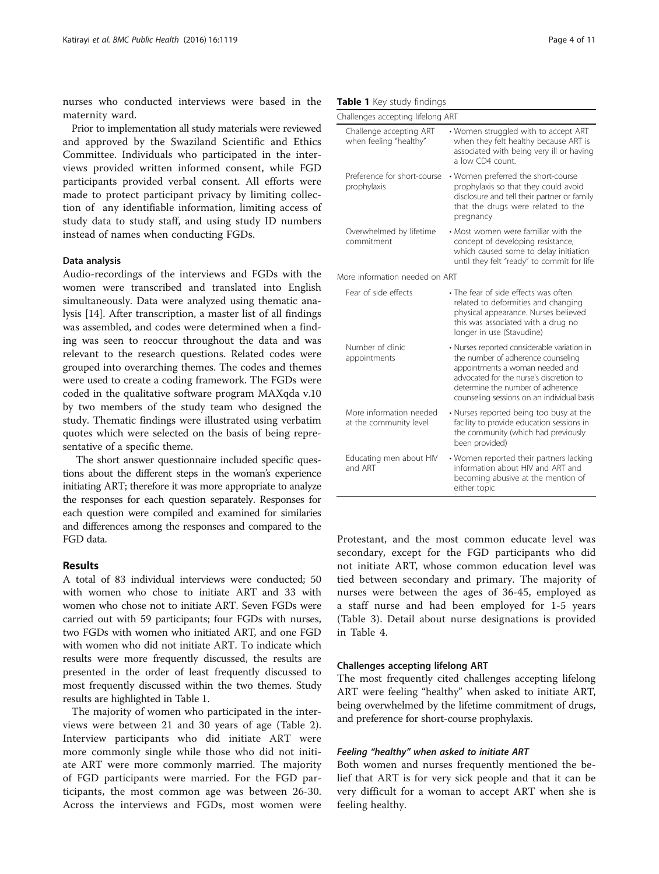nurses who conducted interviews were based in the maternity ward.

Prior to implementation all study materials were reviewed and approved by the Swaziland Scientific and Ethics Committee. Individuals who participated in the interviews provided written informed consent, while FGD participants provided verbal consent. All efforts were made to protect participant privacy by limiting collection of any identifiable information, limiting access of study data to study staff, and using study ID numbers instead of names when conducting FGDs.

#### Data analysis

Audio-recordings of the interviews and FGDs with the women were transcribed and translated into English simultaneously. Data were analyzed using thematic analysis [\[14\]](#page-10-0). After transcription, a master list of all findings was assembled, and codes were determined when a finding was seen to reoccur throughout the data and was relevant to the research questions. Related codes were grouped into overarching themes. The codes and themes were used to create a coding framework. The FGDs were coded in the qualitative software program MAXqda v.10 by two members of the study team who designed the study. Thematic findings were illustrated using verbatim quotes which were selected on the basis of being representative of a specific theme.

The short answer questionnaire included specific questions about the different steps in the woman's experience initiating ART; therefore it was more appropriate to analyze the responses for each question separately. Responses for each question were compiled and examined for similaries and differences among the responses and compared to the FGD data.

# Results

A total of 83 individual interviews were conducted; 50 with women who chose to initiate ART and 33 with women who chose not to initiate ART. Seven FGDs were carried out with 59 participants; four FGDs with nurses, two FGDs with women who initiated ART, and one FGD with women who did not initiate ART. To indicate which results were more frequently discussed, the results are presented in the order of least frequently discussed to most frequently discussed within the two themes. Study results are highlighted in Table 1.

The majority of women who participated in the interviews were between 21 and 30 years of age (Table [2](#page-4-0)). Interview participants who did initiate ART were more commonly single while those who did not initiate ART were more commonly married. The majority of FGD participants were married. For the FGD participants, the most common age was between 26-30. Across the interviews and FGDs, most women were

| Table 1 Key study findings |  |  |
|----------------------------|--|--|
|----------------------------|--|--|

| Challenges accepting lifelong ART                 |                                                                                                                                                                                                                                                    |  |
|---------------------------------------------------|----------------------------------------------------------------------------------------------------------------------------------------------------------------------------------------------------------------------------------------------------|--|
| Challenge accepting ART<br>when feeling "healthy" | • Women struggled with to accept ART<br>when they felt healthy because ART is<br>associated with being very ill or having<br>a low CD4 count                                                                                                       |  |
| Preference for short-course<br>prophylaxis        | • Women preferred the short-course<br>prophylaxis so that they could avoid<br>disclosure and tell their partner or family<br>that the drugs were related to the<br>pregnancy                                                                       |  |
| Overwhelmed by lifetime<br>commitment             | • Most women were familiar with the<br>concept of developing resistance,<br>which caused some to delay initiation<br>until they felt "ready" to commit for life                                                                                    |  |
| More information needed on ART                    |                                                                                                                                                                                                                                                    |  |
| Fear of side effects                              | • The fear of side effects was often<br>related to deformities and changing<br>physical appearance. Nurses believed<br>this was associated with a drug no<br>longer in use (Stavudine)                                                             |  |
| Number of clinic<br>appointments                  | · Nurses reported considerable variation in<br>the number of adherence counseling<br>appointments a woman needed and<br>advocated for the nurse's discretion to<br>determine the number of adherence<br>counseling sessions on an individual basis |  |
| More information needed<br>at the community level | • Nurses reported being too busy at the<br>facility to provide education sessions in<br>the community (which had previously<br>been provided)                                                                                                      |  |
| Educating men about HIV<br>and ART                | • Women reported their partners lacking<br>information about HIV and ART and<br>becoming abusive at the mention of<br>either topic                                                                                                                 |  |

Protestant, and the most common educate level was secondary, except for the FGD participants who did not initiate ART, whose common education level was tied between secondary and primary. The majority of nurses were between the ages of 36-45, employed as a staff nurse and had been employed for 1-5 years (Table [3](#page-5-0)). Detail about nurse designations is provided in Table [4](#page-5-0).

#### Challenges accepting lifelong ART

The most frequently cited challenges accepting lifelong ART were feeling "healthy" when asked to initiate ART, being overwhelmed by the lifetime commitment of drugs, and preference for short-course prophylaxis.

## Feeling "healthy" when asked to initiate ART

Both women and nurses frequently mentioned the belief that ART is for very sick people and that it can be very difficult for a woman to accept ART when she is feeling healthy.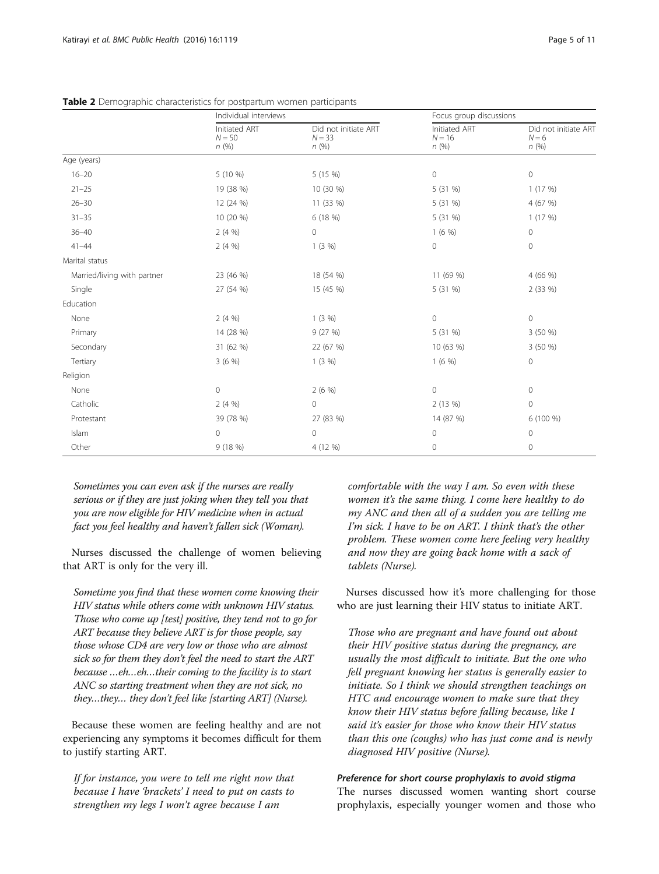| ╯                           | Individual interviews             |                                          | Focus group discussions           |                                         |
|-----------------------------|-----------------------------------|------------------------------------------|-----------------------------------|-----------------------------------------|
|                             | Initiated ART<br>$N = 50$<br>n(%) | Did not initiate ART<br>$N = 33$<br>n(%) | Initiated ART<br>$N = 16$<br>n(%) | Did not initiate ART<br>$N = 6$<br>n(%) |
| Age (years)                 |                                   |                                          |                                   |                                         |
| $16 - 20$                   | 5 (10 %)                          | 5 (15 %)                                 | 0                                 | $\mathbf 0$                             |
| $21 - 25$                   | 19 (38 %)                         | 10 (30 %)                                | 5 (31 %)                          | 1(17%)                                  |
| $26 - 30$                   | 12 (24 %)                         | 11 (33 %)                                | 5 (31 %)                          | 4 (67 %)                                |
| $31 - 35$                   | 10 (20 %)                         | 6 (18 %)                                 | 5 (31 %)                          | 1(17%)                                  |
| $36 - 40$                   | 2(4%)                             | $\circ$                                  | 1(6%                              | $\mathbf 0$                             |
| $41 - 44$                   | 2(4%)                             | 1(3%)                                    | 0                                 | $\mathbf 0$                             |
| Marital status              |                                   |                                          |                                   |                                         |
| Married/living with partner | 23 (46 %)                         | 18 (54 %)                                | 11 (69 %)                         | 4 (66 %)                                |
| Single                      | 27 (54 %)                         | 15 (45 %)                                | 5 (31 %)                          | 2(33%)                                  |
| Education                   |                                   |                                          |                                   |                                         |
| None                        | 2(4%)                             | 1(3%)                                    | $\mathbf 0$                       | $\mathbf 0$                             |
| Primary                     | 14 (28 %)                         | 9(27%)                                   | 5 (31 %)                          | 3(50%                                   |
| Secondary                   | 31 (62 %)                         | 22 (67 %)                                | 10 (63 %)                         | 3 (50 %)                                |
| Tertiary                    | 3(6%)                             | 1(3%)                                    | 1(6%                              | $\mathbf 0$                             |
| Religion                    |                                   |                                          |                                   |                                         |
| None                        | $\circ$                           | 2(6%)                                    | $\mathbf 0$                       | $\mathbf 0$                             |
| Catholic                    | 2(4%)                             | $\circ$                                  | 2(13%)                            | $\mathbf 0$                             |
| Protestant                  | 39 (78 %)                         | 27 (83 %)                                | 14 (87 %)                         | 6 (100 %)                               |
| Islam                       | $\mathbf 0$                       | $\mathbf{O}$                             | 0                                 | $\mathbf 0$                             |
| Other                       | 9(18%)                            | 4 (12 %)                                 | $\mathbf 0$                       | $\mathbf 0$                             |

<span id="page-4-0"></span>Table 2 Demographic characteristics for postpartum women participants

Sometimes you can even ask if the nurses are really serious or if they are just joking when they tell you that you are now eligible for HIV medicine when in actual fact you feel healthy and haven't fallen sick (Woman).

Nurses discussed the challenge of women believing that ART is only for the very ill.

Sometime you find that these women come knowing their HIV status while others come with unknown HIV status. Those who come up [test] positive, they tend not to go for ART because they believe ART is for those people, say those whose CD4 are very low or those who are almost sick so for them they don't feel the need to start the ART because …eh…eh…their coming to the facility is to start ANC so starting treatment when they are not sick, no they…they… they don't feel like [starting ART] (Nurse).

Because these women are feeling healthy and are not experiencing any symptoms it becomes difficult for them to justify starting ART.

If for instance, you were to tell me right now that because I have 'brackets' I need to put on casts to strengthen my legs I won't agree because I am

comfortable with the way I am. So even with these women it's the same thing. I come here healthy to do my ANC and then all of a sudden you are telling me I'm sick. I have to be on ART. I think that's the other problem. These women come here feeling very healthy and now they are going back home with a sack of tablets (Nurse).

Nurses discussed how it's more challenging for those who are just learning their HIV status to initiate ART.

Those who are pregnant and have found out about their HIV positive status during the pregnancy, are usually the most difficult to initiate. But the one who fell pregnant knowing her status is generally easier to initiate. So I think we should strengthen teachings on HTC and encourage women to make sure that they know their HIV status before falling because, like I said it's easier for those who know their HIV status than this one (coughs) who has just come and is newly diagnosed HIV positive (Nurse).

# Preference for short course prophylaxis to avoid stigma

The nurses discussed women wanting short course prophylaxis, especially younger women and those who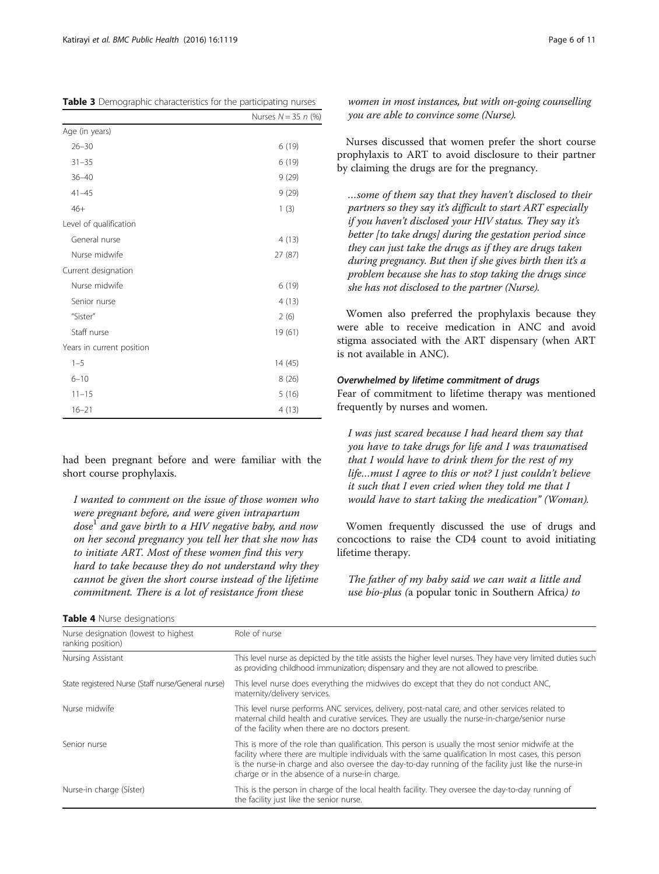<span id="page-5-0"></span>

| Table 3 Demographic characteristics for the participating nurses |  |
|------------------------------------------------------------------|--|
|------------------------------------------------------------------|--|

|                           | Nurses $N = 35 n$ (%) |
|---------------------------|-----------------------|
| Age (in years)            |                       |
| $26 - 30$                 | 6(19)                 |
| $31 - 35$                 | 6(19)                 |
| $36 - 40$                 | 9(29)                 |
| $41 - 45$                 | 9(29)                 |
| $46+$                     | 1(3)                  |
| Level of qualification    |                       |
| General nurse             | 4(13)                 |
| Nurse midwife             | 27 (87)               |
| Current designation       |                       |
| Nurse midwife             | 6(19)                 |
| Senior nurse              | 4(13)                 |
| "Sister"                  | 2(6)                  |
| Staff nurse               | 19 (61)               |
| Years in current position |                       |
| $1 - 5$                   | 14 (45)               |
| $6 - 10$                  | 8(26)                 |
| $11 - 15$                 | 5(16)                 |
| $16 - 21$                 | 4(13)                 |

had been pregnant before and were familiar with the short course prophylaxis.

I wanted to comment on the issue of those women who were pregnant before, and were given intrapartum  $dose<sup>1</sup>$  and gave birth to a HIV negative baby, and now on her second pregnancy you tell her that she now has to initiate ART. Most of these women find this very hard to take because they do not understand why they cannot be given the short course instead of the lifetime commitment. There is a lot of resistance from these

women in most instances, but with on-going counselling you are able to convince some (Nurse).

Nurses discussed that women prefer the short course prophylaxis to ART to avoid disclosure to their partner by claiming the drugs are for the pregnancy.

…some of them say that they haven't disclosed to their partners so they say it's difficult to start ART especially if you haven't disclosed your HIV status. They say it's better [to take drugs] during the gestation period since they can just take the drugs as if they are drugs taken during pregnancy. But then if she gives birth then it's a problem because she has to stop taking the drugs since she has not disclosed to the partner (Nurse).

Women also preferred the prophylaxis because they were able to receive medication in ANC and avoid stigma associated with the ART dispensary (when ART is not available in ANC).

# Overwhelmed by lifetime commitment of drugs

Fear of commitment to lifetime therapy was mentioned frequently by nurses and women.

I was just scared because I had heard them say that you have to take drugs for life and I was traumatised that I would have to drink them for the rest of my life…must I agree to this or not? I just couldn't believe it such that I even cried when they told me that I would have to start taking the medication" (Woman).

Women frequently discussed the use of drugs and concoctions to raise the CD4 count to avoid initiating lifetime therapy.

The father of my baby said we can wait a little and use bio-plus (a popular tonic in Southern Africa) to

| Nurse designation (lowest to highest<br>ranking position) | Role of nurse                                                                                                                                                                                                                                                                                                                                                         |
|-----------------------------------------------------------|-----------------------------------------------------------------------------------------------------------------------------------------------------------------------------------------------------------------------------------------------------------------------------------------------------------------------------------------------------------------------|
| Nursing Assistant                                         | This level nurse as depicted by the title assists the higher level nurses. They have very limited duties such<br>as providing childhood immunization; dispensary and they are not allowed to prescribe.                                                                                                                                                               |
| State registered Nurse (Staff nurse/General nurse)        | This level nurse does everything the midwives do except that they do not conduct ANC,<br>maternity/delivery services.                                                                                                                                                                                                                                                 |
| Nurse midwife                                             | This level nurse performs ANC services, delivery, post-natal care, and other services related to<br>maternal child health and curative services. They are usually the nurse-in-charge/senior nurse<br>of the facility when there are no doctors present.                                                                                                              |
| Senior nurse                                              | This is more of the role than qualification. This person is usually the most senior midwife at the<br>facility where there are multiple individuals with the same qualification In most cases, this person<br>is the nurse-in charge and also oversee the day-to-day running of the facility just like the nurse-in<br>charge or in the absence of a nurse-in charge. |
| Nurse-in charge (Sister)                                  | This is the person in charge of the local health facility. They oversee the day-to-day running of<br>the facility just like the senior nurse.                                                                                                                                                                                                                         |

# Table 4 Nurse designations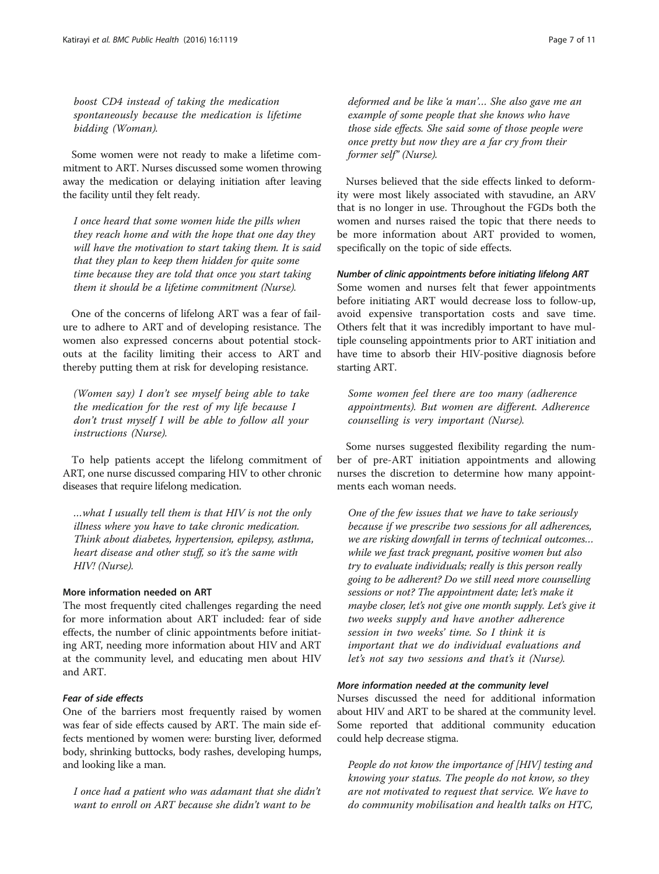boost CD4 instead of taking the medication spontaneously because the medication is lifetime bidding (Woman).

Some women were not ready to make a lifetime commitment to ART. Nurses discussed some women throwing away the medication or delaying initiation after leaving the facility until they felt ready.

I once heard that some women hide the pills when they reach home and with the hope that one day they will have the motivation to start taking them. It is said that they plan to keep them hidden for quite some time because they are told that once you start taking them it should be a lifetime commitment (Nurse).

One of the concerns of lifelong ART was a fear of failure to adhere to ART and of developing resistance. The women also expressed concerns about potential stockouts at the facility limiting their access to ART and thereby putting them at risk for developing resistance.

(Women say) I don't see myself being able to take the medication for the rest of my life because I don't trust myself I will be able to follow all your instructions (Nurse).

To help patients accept the lifelong commitment of ART, one nurse discussed comparing HIV to other chronic diseases that require lifelong medication.

…what I usually tell them is that HIV is not the only illness where you have to take chronic medication. Think about diabetes, hypertension, epilepsy, asthma, heart disease and other stuff, so it's the same with HIV! (Nurse).

# More information needed on ART

The most frequently cited challenges regarding the need for more information about ART included: fear of side effects, the number of clinic appointments before initiating ART, needing more information about HIV and ART at the community level, and educating men about HIV and ART.

# Fear of side effects

One of the barriers most frequently raised by women was fear of side effects caused by ART. The main side effects mentioned by women were: bursting liver, deformed body, shrinking buttocks, body rashes, developing humps, and looking like a man.

I once had a patient who was adamant that she didn't want to enroll on ART because she didn't want to be

deformed and be like 'a man'… She also gave me an example of some people that she knows who have those side effects. She said some of those people were once pretty but now they are a far cry from their former self" (Nurse).

Nurses believed that the side effects linked to deformity were most likely associated with stavudine, an ARV that is no longer in use. Throughout the FGDs both the women and nurses raised the topic that there needs to be more information about ART provided to women, specifically on the topic of side effects.

#### Number of clinic appointments before initiating lifelong ART

Some women and nurses felt that fewer appointments before initiating ART would decrease loss to follow-up, avoid expensive transportation costs and save time. Others felt that it was incredibly important to have multiple counseling appointments prior to ART initiation and have time to absorb their HIV-positive diagnosis before starting ART.

Some women feel there are too many (adherence appointments). But women are different. Adherence counselling is very important (Nurse).

Some nurses suggested flexibility regarding the number of pre-ART initiation appointments and allowing nurses the discretion to determine how many appointments each woman needs.

One of the few issues that we have to take seriously because if we prescribe two sessions for all adherences, we are risking downfall in terms of technical outcomes… while we fast track pregnant, positive women but also try to evaluate individuals; really is this person really going to be adherent? Do we still need more counselling sessions or not? The appointment date; let's make it maybe closer, let's not give one month supply. Let's give it two weeks supply and have another adherence session in two weeks' time. So I think it is important that we do individual evaluations and let's not say two sessions and that's it (Nurse).

# More information needed at the community level

Nurses discussed the need for additional information about HIV and ART to be shared at the community level. Some reported that additional community education could help decrease stigma.

People do not know the importance of [HIV] testing and knowing your status. The people do not know, so they are not motivated to request that service. We have to do community mobilisation and health talks on HTC,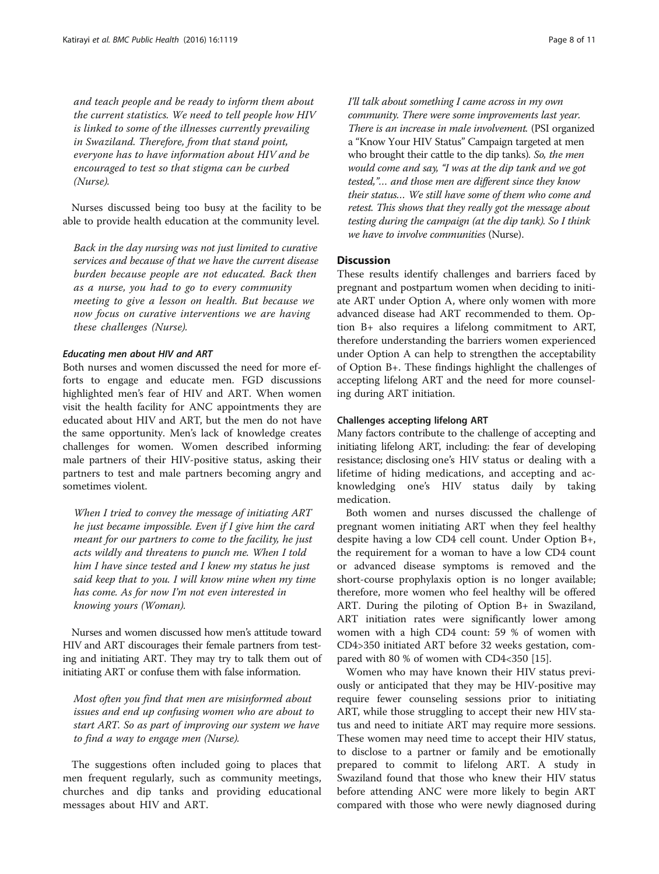and teach people and be ready to inform them about the current statistics. We need to tell people how HIV is linked to some of the illnesses currently prevailing in Swaziland. Therefore, from that stand point, everyone has to have information about HIV and be encouraged to test so that stigma can be curbed (Nurse).

Nurses discussed being too busy at the facility to be able to provide health education at the community level.

Back in the day nursing was not just limited to curative services and because of that we have the current disease burden because people are not educated. Back then as a nurse, you had to go to every community meeting to give a lesson on health. But because we now focus on curative interventions we are having these challenges (Nurse).

#### Educating men about HIV and ART

Both nurses and women discussed the need for more efforts to engage and educate men. FGD discussions highlighted men's fear of HIV and ART. When women visit the health facility for ANC appointments they are educated about HIV and ART, but the men do not have the same opportunity. Men's lack of knowledge creates challenges for women. Women described informing male partners of their HIV-positive status, asking their partners to test and male partners becoming angry and sometimes violent.

When I tried to convey the message of initiating ART he just became impossible. Even if I give him the card meant for our partners to come to the facility, he just acts wildly and threatens to punch me. When I told him I have since tested and I knew my status he just said keep that to you. I will know mine when my time has come. As for now I'm not even interested in knowing yours (Woman).

Nurses and women discussed how men's attitude toward HIV and ART discourages their female partners from testing and initiating ART. They may try to talk them out of initiating ART or confuse them with false information.

Most often you find that men are misinformed about issues and end up confusing women who are about to start ART. So as part of improving our system we have to find a way to engage men (Nurse).

The suggestions often included going to places that men frequent regularly, such as community meetings, churches and dip tanks and providing educational messages about HIV and ART.

I'll talk about something I came across in my own community. There were some improvements last year. There is an increase in male involvement. (PSI organized a "Know Your HIV Status" Campaign targeted at men who brought their cattle to the dip tanks). So, the men would come and say, "I was at the dip tank and we got tested,"… and those men are different since they know their status… We still have some of them who come and retest. This shows that they really got the message about testing during the campaign (at the dip tank). So I think we have to involve communities (Nurse).

# **Discussion**

These results identify challenges and barriers faced by pregnant and postpartum women when deciding to initiate ART under Option A, where only women with more advanced disease had ART recommended to them. Option B+ also requires a lifelong commitment to ART, therefore understanding the barriers women experienced under Option A can help to strengthen the acceptability of Option B+. These findings highlight the challenges of accepting lifelong ART and the need for more counseling during ART initiation.

#### Challenges accepting lifelong ART

Many factors contribute to the challenge of accepting and initiating lifelong ART, including: the fear of developing resistance; disclosing one's HIV status or dealing with a lifetime of hiding medications, and accepting and acknowledging one's HIV status daily by taking medication.

Both women and nurses discussed the challenge of pregnant women initiating ART when they feel healthy despite having a low CD4 cell count. Under Option B+, the requirement for a woman to have a low CD4 count or advanced disease symptoms is removed and the short-course prophylaxis option is no longer available; therefore, more women who feel healthy will be offered ART. During the piloting of Option B+ in Swaziland, ART initiation rates were significantly lower among women with a high CD4 count: 59 % of women with CD4>350 initiated ART before 32 weeks gestation, compared with 80 % of women with CD4<350 [\[15](#page-10-0)].

Women who may have known their HIV status previously or anticipated that they may be HIV-positive may require fewer counseling sessions prior to initiating ART, while those struggling to accept their new HIV status and need to initiate ART may require more sessions. These women may need time to accept their HIV status, to disclose to a partner or family and be emotionally prepared to commit to lifelong ART. A study in Swaziland found that those who knew their HIV status before attending ANC were more likely to begin ART compared with those who were newly diagnosed during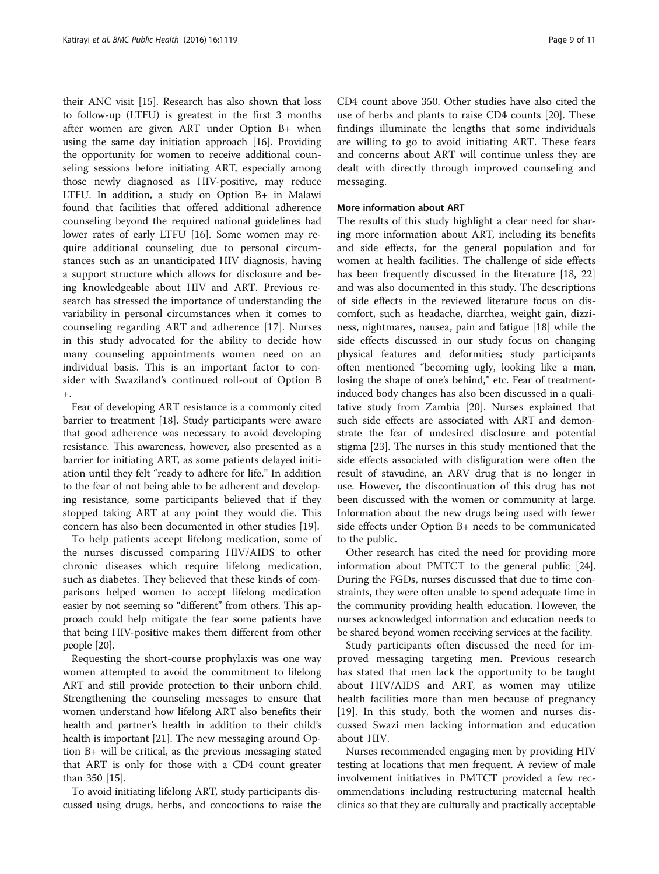their ANC visit [\[15](#page-10-0)]. Research has also shown that loss to follow-up (LTFU) is greatest in the first 3 months after women are given ART under Option B+ when using the same day initiation approach [[16](#page-10-0)]. Providing the opportunity for women to receive additional counseling sessions before initiating ART, especially among those newly diagnosed as HIV-positive, may reduce LTFU. In addition, a study on Option B+ in Malawi found that facilities that offered additional adherence counseling beyond the required national guidelines had lower rates of early LTFU [[16\]](#page-10-0). Some women may require additional counseling due to personal circumstances such as an unanticipated HIV diagnosis, having a support structure which allows for disclosure and being knowledgeable about HIV and ART. Previous research has stressed the importance of understanding the variability in personal circumstances when it comes to counseling regarding ART and adherence [[17\]](#page-10-0). Nurses in this study advocated for the ability to decide how many counseling appointments women need on an individual basis. This is an important factor to consider with Swaziland's continued roll-out of Option B +.

Fear of developing ART resistance is a commonly cited barrier to treatment [[18](#page-10-0)]. Study participants were aware that good adherence was necessary to avoid developing resistance. This awareness, however, also presented as a barrier for initiating ART, as some patients delayed initiation until they felt "ready to adhere for life." In addition to the fear of not being able to be adherent and developing resistance, some participants believed that if they stopped taking ART at any point they would die. This concern has also been documented in other studies [[19\]](#page-10-0).

To help patients accept lifelong medication, some of the nurses discussed comparing HIV/AIDS to other chronic diseases which require lifelong medication, such as diabetes. They believed that these kinds of comparisons helped women to accept lifelong medication easier by not seeming so "different" from others. This approach could help mitigate the fear some patients have that being HIV-positive makes them different from other people [[20](#page-10-0)].

Requesting the short-course prophylaxis was one way women attempted to avoid the commitment to lifelong ART and still provide protection to their unborn child. Strengthening the counseling messages to ensure that women understand how lifelong ART also benefits their health and partner's health in addition to their child's health is important [[21\]](#page-10-0). The new messaging around Option B+ will be critical, as the previous messaging stated that ART is only for those with a CD4 count greater than 350 [[15\]](#page-10-0).

To avoid initiating lifelong ART, study participants discussed using drugs, herbs, and concoctions to raise the

CD4 count above 350. Other studies have also cited the use of herbs and plants to raise CD4 counts [[20](#page-10-0)]. These findings illuminate the lengths that some individuals are willing to go to avoid initiating ART. These fears and concerns about ART will continue unless they are dealt with directly through improved counseling and messaging.

#### More information about ART

The results of this study highlight a clear need for sharing more information about ART, including its benefits and side effects, for the general population and for women at health facilities. The challenge of side effects has been frequently discussed in the literature [\[18](#page-10-0), [22](#page-10-0)] and was also documented in this study. The descriptions of side effects in the reviewed literature focus on discomfort, such as headache, diarrhea, weight gain, dizziness, nightmares, nausea, pain and fatigue [[18\]](#page-10-0) while the side effects discussed in our study focus on changing physical features and deformities; study participants often mentioned "becoming ugly, looking like a man, losing the shape of one's behind," etc. Fear of treatmentinduced body changes has also been discussed in a qualitative study from Zambia [\[20\]](#page-10-0). Nurses explained that such side effects are associated with ART and demonstrate the fear of undesired disclosure and potential stigma [[23\]](#page-10-0). The nurses in this study mentioned that the side effects associated with disfiguration were often the result of stavudine, an ARV drug that is no longer in use. However, the discontinuation of this drug has not been discussed with the women or community at large. Information about the new drugs being used with fewer side effects under Option B+ needs to be communicated to the public.

Other research has cited the need for providing more information about PMTCT to the general public [\[24](#page-10-0)]. During the FGDs, nurses discussed that due to time constraints, they were often unable to spend adequate time in the community providing health education. However, the nurses acknowledged information and education needs to be shared beyond women receiving services at the facility.

Study participants often discussed the need for improved messaging targeting men. Previous research has stated that men lack the opportunity to be taught about HIV/AIDS and ART, as women may utilize health facilities more than men because of pregnancy [[19\]](#page-10-0). In this study, both the women and nurses discussed Swazi men lacking information and education about HIV.

Nurses recommended engaging men by providing HIV testing at locations that men frequent. A review of male involvement initiatives in PMTCT provided a few recommendations including restructuring maternal health clinics so that they are culturally and practically acceptable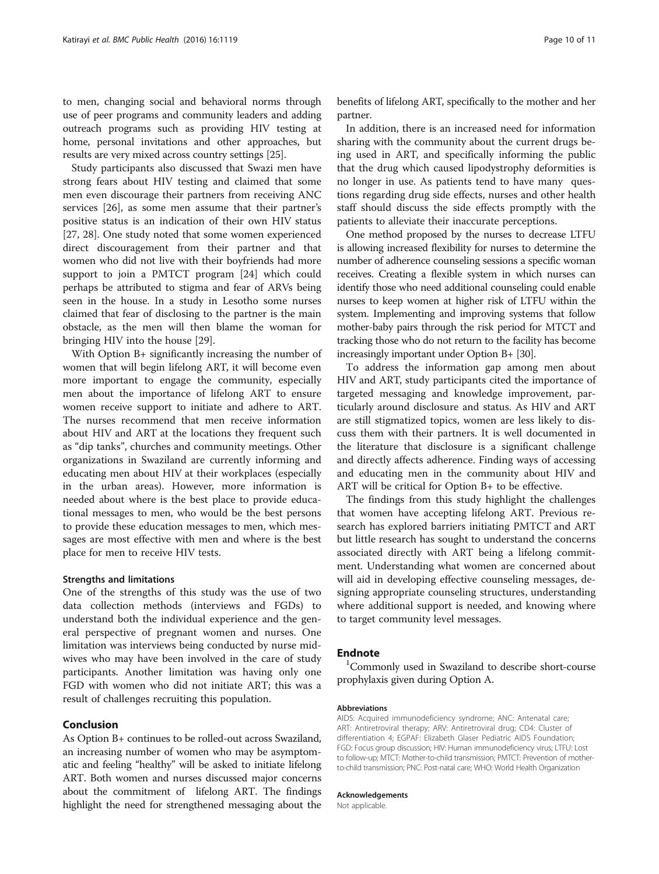to men, changing social and behavioral norms through use of peer programs and community leaders and adding outreach programs such as providing HIV testing at home, personal invitations and other approaches, but results are very mixed across country settings [[25](#page-10-0)].

Study participants also discussed that Swazi men have strong fears about HIV testing and claimed that some men even discourage their partners from receiving ANC services [\[26\]](#page-10-0), as some men assume that their partner's positive status is an indication of their own HIV status [[27, 28\]](#page-10-0). One study noted that some women experienced direct discouragement from their partner and that women who did not live with their boyfriends had more support to join a PMTCT program [\[24\]](#page-10-0) which could perhaps be attributed to stigma and fear of ARVs being seen in the house. In a study in Lesotho some nurses claimed that fear of disclosing to the partner is the main obstacle, as the men will then blame the woman for bringing HIV into the house [\[29](#page-10-0)].

With Option B+ significantly increasing the number of women that will begin lifelong ART, it will become even more important to engage the community, especially men about the importance of lifelong ART to ensure women receive support to initiate and adhere to ART. The nurses recommend that men receive information about HIV and ART at the locations they frequent such as "dip tanks", churches and community meetings. Other organizations in Swaziland are currently informing and educating men about HIV at their workplaces (especially in the urban areas). However, more information is needed about where is the best place to provide educational messages to men, who would be the best persons to provide these education messages to men, which messages are most effective with men and where is the best place for men to receive HIV tests.

#### Strengths and limitations

One of the strengths of this study was the use of two data collection methods (interviews and FGDs) to understand both the individual experience and the general perspective of pregnant women and nurses. One limitation was interviews being conducted by nurse midwives who may have been involved in the care of study participants. Another limitation was having only one FGD with women who did not initiate ART; this was a result of challenges recruiting this population.

# Conclusion

As Option B+ continues to be rolled-out across Swaziland, an increasing number of women who may be asymptomatic and feeling "healthy" will be asked to initiate lifelong ART. Both women and nurses discussed major concerns about the commitment of lifelong ART. The findings highlight the need for strengthened messaging about the

benefits of lifelong ART, specifically to the mother and her partner.

In addition, there is an increased need for information sharing with the community about the current drugs being used in ART, and specifically informing the public that the drug which caused lipodystrophy deformities is no longer in use. As patients tend to have many questions regarding drug side effects, nurses and other health staff should discuss the side effects promptly with the patients to alleviate their inaccurate perceptions.

One method proposed by the nurses to decrease LTFU is allowing increased flexibility for nurses to determine the number of adherence counseling sessions a specific woman receives. Creating a flexible system in which nurses can identify those who need additional counseling could enable nurses to keep women at higher risk of LTFU within the system. Implementing and improving systems that follow mother-baby pairs through the risk period for MTCT and tracking those who do not return to the facility has become increasingly important under Option B+ [\[30](#page-10-0)].

To address the information gap among men about HIV and ART, study participants cited the importance of targeted messaging and knowledge improvement, particularly around disclosure and status. As HIV and ART are still stigmatized topics, women are less likely to discuss them with their partners. It is well documented in the literature that disclosure is a significant challenge and directly affects adherence. Finding ways of accessing and educating men in the community about HIV and ART will be critical for Option B+ to be effective.

The findings from this study highlight the challenges that women have accepting lifelong ART. Previous research has explored barriers initiating PMTCT and ART but little research has sought to understand the concerns associated directly with ART being a lifelong commitment. Understanding what women are concerned about will aid in developing effective counseling messages, designing appropriate counseling structures, understanding where additional support is needed, and knowing where to target community level messages.

#### **Endnote**

Commonly used in Swaziland to describe short-course prophylaxis given during Option A.

#### Abbreviations

AIDS: Acquired immunodeficiency syndrome; ANC: Antenatal care; ART: Antiretroviral therapy; ARV: Antiretroviral drug; CD4: Cluster of differentiation 4; EGPAF: Elizabeth Glaser Pediatric AIDS Foundation; FGD: Focus group discussion; HIV: Human immunodeficiency virus; LTFU: Lost to follow-up; MTCT: Mother-to-child transmission; PMTCT: Prevention of motherto-child transmission; PNC: Post-natal care; WHO: World Health Organization

#### Acknowledgements

Not applicable.